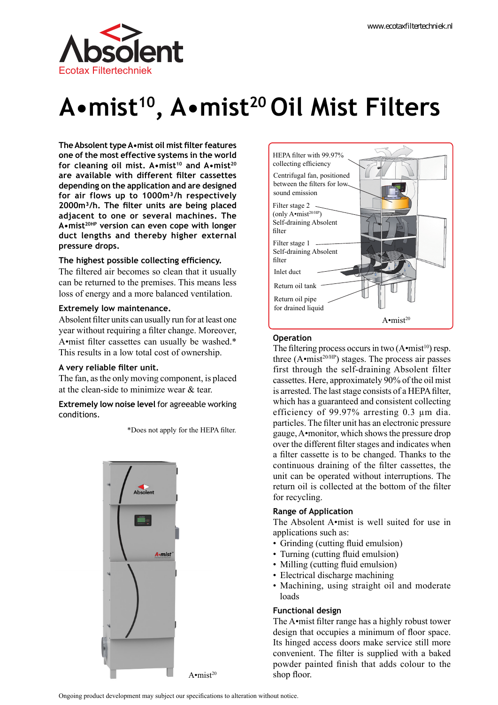

# **A•mist10, A•mist20 Oil Mist Filters**

**The Absolent type A•mist oil mist filter features one of the most effective systems in the world for cleaning oil mist. A•mist<sup>10</sup> and A•mist<sup>20</sup> are available with different filter cassettes depending on the application and are designed for air flows up to 1000m³/h respectively 2000m³/h. The filter units are being placed adjacent to one or several machines. The A•mist20HP version can even cope with longer duct lengths and thereby higher external pressure drops.**

#### **The highest possible collecting efficiency.**

The filtered air becomes so clean that it usually can be returned to the premises. This means less loss of energy and a more balanced ventilation.

#### **Extremely low maintenance.**

Absolent filter units can usually run for at least one year without requiring a filter change. Moreover, A•mist filter cassettes can usually be washed.\* This results in a low total cost of ownership.

#### **A very reliable filter unit.**

The fan, as the only moving component, is placed at the clean-side to minimize wear & tear.

#### **Extremely low noise level** for agreeable working conditions.

\*Does not apply for the HEPA filter.





#### **Operation**

The filtering process occurs in two  $(A \cdot mist^{10})$  resp. three  $(A \cdot \text{mist}^{20/HP})$  stages. The process air passes first through the self-draining Absolent filter cassettes. Here, approximately 90% of the oil mist is arrested. The last stage consists of a HEPA filter, which has a guaranteed and consistent collecting efficiency of 99.97% arresting 0.3 µm dia. particles. The filter unit has an electronic pressure gauge, A•monitor, which shows the pressure drop over the different filter stages and indicates when a filter cassette is to be changed. Thanks to the continuous draining of the filter cassettes, the unit can be operated without interruptions. The return oil is collected at the bottom of the filter for recycling.

#### **Range of Application**

The Absolent A•mist is well suited for use in applications such as:

- Grinding (cutting fluid emulsion)
- Turning (cutting fluid emulsion)
- Milling (cutting fluid emulsion)
- Electrical discharge machining
- Machining, using straight oil and moderate loads

#### **Functional design**

The A•mist filter range has a highly robust tower design that occupies a minimum of floor space. Its hinged access doors make service still more convenient. The filter is supplied with a baked powder painted finish that adds colour to the shop floor.

Ongoing product development may subject our specifications to alteration without notice.

 $A \cdot mist^{20}$